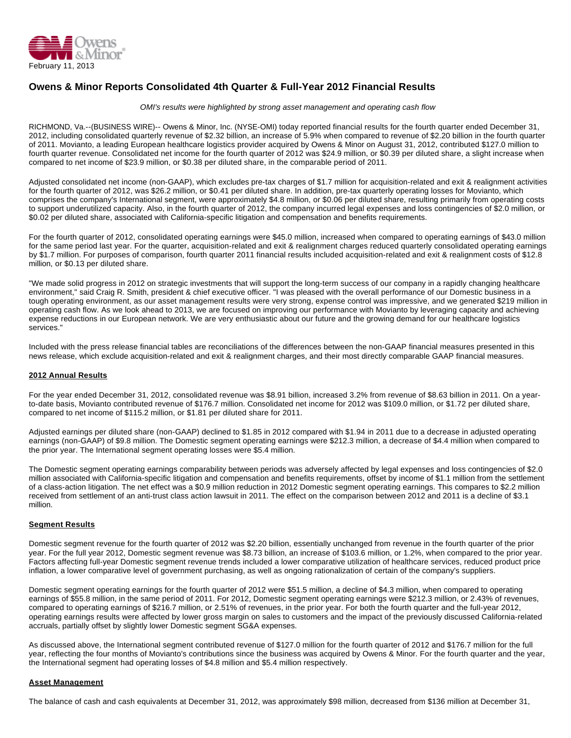

## **Owens & Minor Reports Consolidated 4th Quarter & Full-Year 2012 Financial Results**

OMI's results were highlighted by strong asset management and operating cash flow

RICHMOND, Va.--(BUSINESS WIRE)-- Owens & Minor, Inc. (NYSE-OMI) today reported financial results for the fourth quarter ended December 31, 2012, including consolidated quarterly revenue of \$2.32 billion, an increase of 5.9% when compared to revenue of \$2.20 billion in the fourth quarter of 2011. Movianto, a leading European healthcare logistics provider acquired by Owens & Minor on August 31, 2012, contributed \$127.0 million to fourth quarter revenue. Consolidated net income for the fourth quarter of 2012 was \$24.9 million, or \$0.39 per diluted share, a slight increase when compared to net income of \$23.9 million, or \$0.38 per diluted share, in the comparable period of 2011.

Adjusted consolidated net income (non-GAAP), which excludes pre-tax charges of \$1.7 million for acquisition-related and exit & realignment activities for the fourth quarter of 2012, was \$26.2 million, or \$0.41 per diluted share. In addition, pre-tax quarterly operating losses for Movianto, which comprises the company's International segment, were approximately \$4.8 million, or \$0.06 per diluted share, resulting primarily from operating costs to support underutilized capacity. Also, in the fourth quarter of 2012, the company incurred legal expenses and loss contingencies of \$2.0 million, or \$0.02 per diluted share, associated with California-specific litigation and compensation and benefits requirements.

For the fourth quarter of 2012, consolidated operating earnings were \$45.0 million, increased when compared to operating earnings of \$43.0 million for the same period last year. For the quarter, acquisition-related and exit & realignment charges reduced quarterly consolidated operating earnings by \$1.7 million. For purposes of comparison, fourth quarter 2011 financial results included acquisition-related and exit & realignment costs of \$12.8 million, or \$0.13 per diluted share.

"We made solid progress in 2012 on strategic investments that will support the long-term success of our company in a rapidly changing healthcare environment," said Craig R. Smith, president & chief executive officer. "I was pleased with the overall performance of our Domestic business in a tough operating environment, as our asset management results were very strong, expense control was impressive, and we generated \$219 million in operating cash flow. As we look ahead to 2013, we are focused on improving our performance with Movianto by leveraging capacity and achieving expense reductions in our European network. We are very enthusiastic about our future and the growing demand for our healthcare logistics services."

Included with the press release financial tables are reconciliations of the differences between the non-GAAP financial measures presented in this news release, which exclude acquisition-related and exit & realignment charges, and their most directly comparable GAAP financial measures.

### **2012 Annual Results**

For the year ended December 31, 2012, consolidated revenue was \$8.91 billion, increased 3.2% from revenue of \$8.63 billion in 2011. On a yearto-date basis, Movianto contributed revenue of \$176.7 million. Consolidated net income for 2012 was \$109.0 million, or \$1.72 per diluted share, compared to net income of \$115.2 million, or \$1.81 per diluted share for 2011.

Adjusted earnings per diluted share (non-GAAP) declined to \$1.85 in 2012 compared with \$1.94 in 2011 due to a decrease in adjusted operating earnings (non-GAAP) of \$9.8 million. The Domestic segment operating earnings were \$212.3 million, a decrease of \$4.4 million when compared to the prior year. The International segment operating losses were \$5.4 million.

The Domestic segment operating earnings comparability between periods was adversely affected by legal expenses and loss contingencies of \$2.0 million associated with California-specific litigation and compensation and benefits requirements, offset by income of \$1.1 million from the settlement of a class-action litigation. The net effect was a \$0.9 million reduction in 2012 Domestic segment operating earnings. This compares to \$2.2 million received from settlement of an anti-trust class action lawsuit in 2011. The effect on the comparison between 2012 and 2011 is a decline of \$3.1 million.

### **Segment Results**

Domestic segment revenue for the fourth quarter of 2012 was \$2.20 billion, essentially unchanged from revenue in the fourth quarter of the prior year. For the full year 2012, Domestic segment revenue was \$8.73 billion, an increase of \$103.6 million, or 1.2%, when compared to the prior year. Factors affecting full-year Domestic segment revenue trends included a lower comparative utilization of healthcare services, reduced product price inflation, a lower comparative level of government purchasing, as well as ongoing rationalization of certain of the company's suppliers.

Domestic segment operating earnings for the fourth quarter of 2012 were \$51.5 million, a decline of \$4.3 million, when compared to operating earnings of \$55.8 million, in the same period of 2011. For 2012, Domestic segment operating earnings were \$212.3 million, or 2.43% of revenues, compared to operating earnings of \$216.7 million, or 2.51% of revenues, in the prior year. For both the fourth quarter and the full-year 2012, operating earnings results were affected by lower gross margin on sales to customers and the impact of the previously discussed California-related accruals, partially offset by slightly lower Domestic segment SG&A expenses.

As discussed above, the International segment contributed revenue of \$127.0 million for the fourth quarter of 2012 and \$176.7 million for the full year, reflecting the four months of Movianto's contributions since the business was acquired by Owens & Minor. For the fourth quarter and the year, the International segment had operating losses of \$4.8 million and \$5.4 million respectively.

### **Asset Management**

The balance of cash and cash equivalents at December 31, 2012, was approximately \$98 million, decreased from \$136 million at December 31,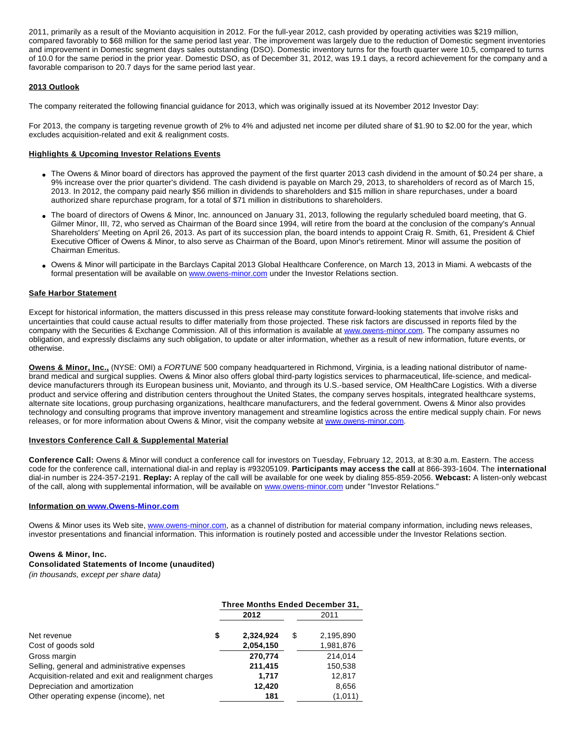2011, primarily as a result of the Movianto acquisition in 2012. For the full-year 2012, cash provided by operating activities was \$219 million, compared favorably to \$68 million for the same period last year. The improvement was largely due to the reduction of Domestic segment inventories and improvement in Domestic segment days sales outstanding (DSO). Domestic inventory turns for the fourth quarter were 10.5, compared to turns of 10.0 for the same period in the prior year. Domestic DSO, as of December 31, 2012, was 19.1 days, a record achievement for the company and a favorable comparison to 20.7 days for the same period last year.

## **2013 Outlook**

The company reiterated the following financial guidance for 2013, which was originally issued at its November 2012 Investor Day:

For 2013, the company is targeting revenue growth of 2% to 4% and adjusted net income per diluted share of \$1.90 to \$2.00 for the year, which excludes acquisition-related and exit & realignment costs.

## **Highlights & Upcoming Investor Relations Events**

- The Owens & Minor board of directors has approved the payment of the first quarter 2013 cash dividend in the amount of \$0.24 per share, a 9% increase over the prior quarter's dividend. The cash dividend is payable on March 29, 2013, to shareholders of record as of March 15, 2013. In 2012, the company paid nearly \$56 million in dividends to shareholders and \$15 million in share repurchases, under a board authorized share repurchase program, for a total of \$71 million in distributions to shareholders.
- The board of directors of Owens & Minor, Inc. announced on January 31, 2013, following the regularly scheduled board meeting, that G. Gilmer Minor, III, 72, who served as Chairman of the Board since 1994, will retire from the board at the conclusion of the company's Annual Shareholders' Meeting on April 26, 2013. As part of its succession plan, the board intends to appoint Craig R. Smith, 61, President & Chief Executive Officer of Owens & Minor, to also serve as Chairman of the Board, upon Minor's retirement. Minor will assume the position of Chairman Emeritus.
- Owens & Minor will participate in the Barclays Capital 2013 Global Healthcare Conference, on March 13, 2013 in Miami. A webcasts of the formal presentation will be available on [www.owens-minor.com](http://cts.businesswire.com/ct/CT?id=smartlink&url=http%3A%2F%2Fwww.owens-minor.com&esheet=50560347&lan=en-US&anchor=www.owens-minor.com&index=1&md5=6002f55b89aae6821498acef27eddb9d) under the Investor Relations section.

## **Safe Harbor Statement**

Except for historical information, the matters discussed in this press release may constitute forward-looking statements that involve risks and uncertainties that could cause actual results to differ materially from those projected. These risk factors are discussed in reports filed by the company with the Securities & Exchange Commission. All of this information is available at [www.owens-minor.com](http://cts.businesswire.com/ct/CT?id=smartlink&url=http%3A%2F%2Fwww.owens-minor.com&esheet=50560347&lan=en-US&anchor=www.owens-minor.com&index=2&md5=9d54c7d4fda3a08991cdc459f68127c8). The company assumes no obligation, and expressly disclaims any such obligation, to update or alter information, whether as a result of new information, future events, or otherwise.

**Owens & Minor, Inc.,** (NYSE: OMI) a FORTUNE 500 company headquartered in Richmond, Virginia, is a leading national distributor of namebrand medical and surgical supplies. Owens & Minor also offers global third-party logistics services to pharmaceutical, life-science, and medicaldevice manufacturers through its European business unit, Movianto, and through its U.S.-based service, OM HealthCare Logistics. With a diverse product and service offering and distribution centers throughout the United States, the company serves hospitals, integrated healthcare systems, alternate site locations, group purchasing organizations, healthcare manufacturers, and the federal government. Owens & Minor also provides technology and consulting programs that improve inventory management and streamline logistics across the entire medical supply chain. For news releases, or for more information about Owens & Minor, visit the company website at [www.owens-minor.com](http://cts.businesswire.com/ct/CT?id=smartlink&url=http%3A%2F%2Fwww.owens-minor.com&esheet=50560347&lan=en-US&anchor=www.owens-minor.com&index=3&md5=b7b23ae6176dcdf2ee3caa7d4d4f5441).

### **Investors Conference Call & Supplemental Material**

**Conference Call:** Owens & Minor will conduct a conference call for investors on Tuesday, February 12, 2013, at 8:30 a.m. Eastern. The access code for the conference call, international dial-in and replay is #93205109. **Participants may access the call** at 866-393-1604. The **international** dial-in number is 224-357-2191. **Replay:** A replay of the call will be available for one week by dialing 855-859-2056. **Webcast:** A listen-only webcast of the call, along with supplemental information, will be available on [www.owens-minor.com](http://cts.businesswire.com/ct/CT?id=smartlink&url=http%3A%2F%2Fwww.owens-minor.com&esheet=50560347&lan=en-US&anchor=www.owens-minor.com&index=4&md5=d0a6c24287ad56f0eeabd316a5b71c79) under "Investor Relations."

### **Information on [www.Owens-Minor.com](http://cts.businesswire.com/ct/CT?id=smartlink&url=http%3A%2F%2Fwww.Owens-Minor.com&esheet=50560347&lan=en-US&anchor=www.Owens-Minor.com&index=5&md5=79fc46785cd179cf240606316bb2ba16)**

Owens & Minor uses its Web site, [www.owens-minor.com,](http://cts.businesswire.com/ct/CT?id=smartlink&url=http%3A%2F%2Fwww.owens-minor.com&esheet=50560347&lan=en-US&anchor=www.owens-minor.com&index=6&md5=73ac813ea5a67e5b3f1571ef628d09c0) as a channel of distribution for material company information, including news releases, investor presentations and financial information. This information is routinely posted and accessible under the Investor Relations section.

## **Owens & Minor, Inc.**

### **Consolidated Statements of Income (unaudited)**

(in thousands, except per share data)

|                                                      | Three Months Ended December 31, |   |           |  |  |  |
|------------------------------------------------------|---------------------------------|---|-----------|--|--|--|
|                                                      | 2012                            |   | 2011      |  |  |  |
| Net revenue                                          | \$<br>2,324,924                 | S | 2,195,890 |  |  |  |
| Cost of goods sold                                   | 2,054,150                       |   | 1,981,876 |  |  |  |
| Gross margin                                         | 270,774                         |   | 214.014   |  |  |  |
| Selling, general and administrative expenses         | 211,415                         |   | 150,538   |  |  |  |
| Acquisition-related and exit and realignment charges | 1,717                           |   | 12,817    |  |  |  |
| Depreciation and amortization                        | 12,420                          |   | 8,656     |  |  |  |
| Other operating expense (income), net                | 181                             |   | (1,011)   |  |  |  |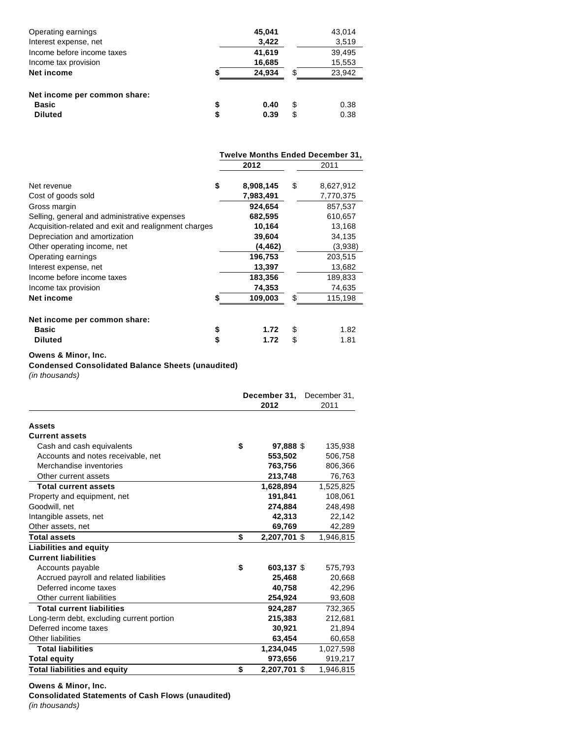| Operating earnings           | 45.041     |    | 43,014 |
|------------------------------|------------|----|--------|
| Interest expense, net        | 3,422      |    | 3,519  |
| Income before income taxes   | 41,619     |    | 39,495 |
| Income tax provision         | 16,685     |    | 15,553 |
| Net income                   | 24.934     | £. | 23.942 |
| Net income per common share: |            |    |        |
| <b>Basic</b>                 | \$<br>0.40 | \$ | 0.38   |
| <b>Diluted</b>               | \$<br>0.39 | \$ | 0.38   |

|                                                      | <b>Twelve Months Ended December 31,</b> |    |           |
|------------------------------------------------------|-----------------------------------------|----|-----------|
|                                                      | 2012                                    |    | 2011      |
| Net revenue                                          | \$<br>8,908,145                         | \$ | 8,627,912 |
| Cost of goods sold                                   | 7,983,491                               |    | 7,770,375 |
| Gross margin                                         | 924.654                                 |    | 857.537   |
| Selling, general and administrative expenses         | 682,595                                 |    | 610,657   |
| Acquisition-related and exit and realignment charges | 10,164                                  |    | 13,168    |
| Depreciation and amortization                        | 39,604                                  |    | 34,135    |
| Other operating income, net                          | (4,462)                                 |    | (3,938)   |
| Operating earnings                                   | 196,753                                 |    | 203,515   |
| Interest expense, net                                | 13,397                                  |    | 13,682    |
| Income before income taxes                           | 183,356                                 |    | 189,833   |
| Income tax provision                                 | 74,353                                  |    | 74,635    |
| Net income                                           | 109,003                                 | .ፍ | 115,198   |
| Net income per common share:                         |                                         |    |           |
| Basic                                                | \$<br>1.72                              | \$ | 1.82      |
| <b>Diluted</b>                                       | \$<br>1.72                              | \$ | 1.81      |

## **Owens & Minor, Inc.**

## **Condensed Consolidated Balance Sheets (unaudited)**

(in thousands)

|                                           | December 31, |              | December 31, |
|-------------------------------------------|--------------|--------------|--------------|
|                                           |              | 2012         | 2011         |
| <b>Assets</b>                             |              |              |              |
| <b>Current assets</b>                     |              |              |              |
| Cash and cash equivalents                 | \$           | 97,888 \$    | 135,938      |
| Accounts and notes receivable, net        |              | 553,502      | 506,758      |
| Merchandise inventories                   |              | 763,756      | 806,366      |
| Other current assets                      |              | 213,748      | 76,763       |
| <b>Total current assets</b>               |              | 1,628,894    | 1,525,825    |
| Property and equipment, net               |              | 191,841      | 108,061      |
| Goodwill, net                             |              | 274,884      | 248,498      |
| Intangible assets, net                    |              | 42,313       | 22,142       |
| Other assets, net                         |              | 69,769       | 42,289       |
| <b>Total assets</b>                       | \$           | 2,207,701 \$ | 1,946,815    |
| <b>Liabilities and equity</b>             |              |              |              |
| <b>Current liabilities</b>                |              |              |              |
| Accounts payable                          | \$           | 603.137 \$   | 575,793      |
| Accrued payroll and related liabilities   |              | 25,468       | 20,668       |
| Deferred income taxes                     |              | 40,758       | 42,296       |
| Other current liabilities                 |              | 254,924      | 93,608       |
| <b>Total current liabilities</b>          |              | 924,287      | 732,365      |
| Long-term debt, excluding current portion |              | 215,383      | 212,681      |
| Deferred income taxes                     |              | 30,921       | 21,894       |
| <b>Other liabilities</b>                  |              | 63,454       | 60,658       |
| <b>Total liabilities</b>                  |              | 1,234,045    | 1,027,598    |
| <b>Total equity</b>                       |              | 973,656      | 919,217      |
| <b>Total liabilities and equity</b>       | \$           | 2.207.701 \$ | 1.946.815    |

## **Owens & Minor, Inc.**

**Consolidated Statements of Cash Flows (unaudited)** (in thousands)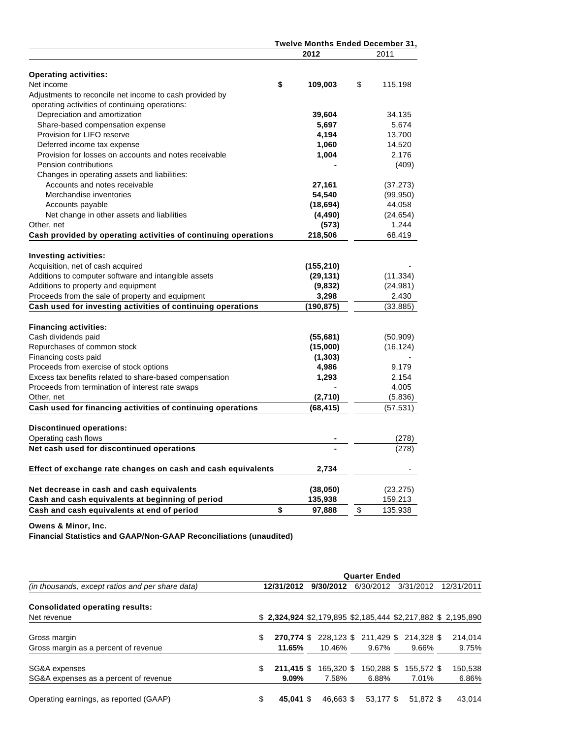|                                                                | Twelve Months Ended December 31, |            |    |           |  |
|----------------------------------------------------------------|----------------------------------|------------|----|-----------|--|
|                                                                |                                  | 2012       |    | 2011      |  |
| <b>Operating activities:</b>                                   |                                  |            |    |           |  |
| Net income                                                     | \$                               | 109,003    | \$ | 115,198   |  |
| Adjustments to reconcile net income to cash provided by        |                                  |            |    |           |  |
| operating activities of continuing operations:                 |                                  |            |    |           |  |
| Depreciation and amortization                                  |                                  | 39,604     |    | 34,135    |  |
| Share-based compensation expense                               |                                  | 5,697      |    | 5,674     |  |
| Provision for LIFO reserve                                     |                                  | 4,194      |    | 13,700    |  |
| Deferred income tax expense                                    |                                  | 1,060      |    | 14,520    |  |
| Provision for losses on accounts and notes receivable          |                                  |            |    | 2,176     |  |
|                                                                |                                  | 1,004      |    |           |  |
| Pension contributions                                          |                                  |            |    | (409)     |  |
| Changes in operating assets and liabilities:                   |                                  |            |    |           |  |
| Accounts and notes receivable                                  |                                  | 27,161     |    | (37, 273) |  |
| Merchandise inventories                                        |                                  | 54,540     |    | (99, 950) |  |
| Accounts payable                                               |                                  | (18, 694)  |    | 44,058    |  |
| Net change in other assets and liabilities                     |                                  | (4, 490)   |    | (24, 654) |  |
| Other, net                                                     |                                  | (573)      |    | 1,244     |  |
| Cash provided by operating activities of continuing operations |                                  | 218,506    |    | 68,419    |  |
| <b>Investing activities:</b>                                   |                                  |            |    |           |  |
| Acquisition, net of cash acquired                              |                                  | (155, 210) |    |           |  |
| Additions to computer software and intangible assets           |                                  | (29, 131)  |    | (11, 334) |  |
| Additions to property and equipment                            |                                  | (9,832)    |    | (24, 981) |  |
| Proceeds from the sale of property and equipment               |                                  | 3,298      |    | 2,430     |  |
| Cash used for investing activities of continuing operations    |                                  | (190, 875) |    | (33, 885) |  |
|                                                                |                                  |            |    |           |  |
| <b>Financing activities:</b>                                   |                                  |            |    |           |  |
| Cash dividends paid                                            |                                  | (55,681)   |    | (50, 909) |  |
| Repurchases of common stock                                    |                                  | (15,000)   |    | (16, 124) |  |
| Financing costs paid                                           |                                  | (1, 303)   |    |           |  |
| Proceeds from exercise of stock options                        |                                  | 4,986      |    | 9,179     |  |
| Excess tax benefits related to share-based compensation        |                                  | 1,293      |    | 2,154     |  |
| Proceeds from termination of interest rate swaps               |                                  |            |    | 4,005     |  |
| Other, net                                                     |                                  | (2,710)    |    | (5,836)   |  |
| Cash used for financing activities of continuing operations    |                                  | (68, 415)  |    | (57, 531) |  |
| <b>Discontinued operations:</b>                                |                                  |            |    |           |  |
| Operating cash flows                                           |                                  |            |    | (278)     |  |
| Net cash used for discontinued operations                      |                                  |            |    | (278)     |  |
| Effect of exchange rate changes on cash and cash equivalents   |                                  | 2,734      |    |           |  |
|                                                                |                                  |            |    |           |  |
| Net decrease in cash and cash equivalents                      |                                  | (38,050)   |    | (23, 275) |  |
| Cash and cash equivalents at beginning of period               |                                  | 135,938    |    | 159,213   |  |
| Cash and cash equivalents at end of period                     | \$                               | 97,888     | \$ | 135,938   |  |

**Owens & Minor, Inc.**

**Financial Statistics and GAAP/Non-GAAP Reconciliations (unaudited)**

|                                                  | <b>Quarter Ended</b> |                                                             |  |                                         |  |            |  |            |            |         |  |  |
|--------------------------------------------------|----------------------|-------------------------------------------------------------|--|-----------------------------------------|--|------------|--|------------|------------|---------|--|--|
| (in thousands, except ratios and per share data) |                      | 12/31/2012                                                  |  | 9/30/2012                               |  | 6/30/2012  |  | 3/31/2012  | 12/31/2011 |         |  |  |
| Consolidated operating results:                  |                      |                                                             |  |                                         |  |            |  |            |            |         |  |  |
| Net revenue                                      |                      | \$2,324,924 \$2,179,895 \$2,185,444 \$2,217,882 \$2,195,890 |  |                                         |  |            |  |            |            |         |  |  |
| Gross margin                                     | \$                   |                                                             |  | <b>270.774 \$ 228.123 \$ 211.429 \$</b> |  |            |  | 214.328 \$ |            | 214.014 |  |  |
| Gross margin as a percent of revenue             |                      | 11.65%                                                      |  | 10.46%                                  |  | 9.67%      |  | 9.66%      |            | 9.75%   |  |  |
| SG&A expenses                                    | \$                   | 211,415 \$                                                  |  | 165.320 \$                              |  | 150.288 \$ |  | 155.572 \$ |            | 150,538 |  |  |
| SG&A expenses as a percent of revenue            |                      | 9.09%                                                       |  | 7.58%                                   |  | 6.88%      |  | 7.01%      |            | 6.86%   |  |  |
| Operating earnings, as reported (GAAP)           | \$                   | 45.041 \$                                                   |  | 46.663 \$                               |  | 53.177 \$  |  | 51.872 \$  |            | 43,014  |  |  |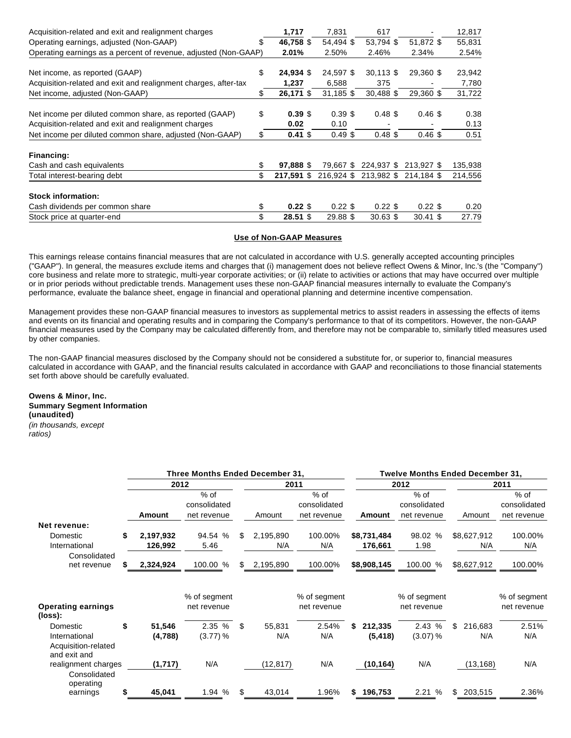| Acquisition-related and exit and realignment charges            | 1,717            | 7,831      | 617        |                       | 12,817  |
|-----------------------------------------------------------------|------------------|------------|------------|-----------------------|---------|
| Operating earnings, adjusted (Non-GAAP)                         | \$<br>46,758 \$  | 54,494 \$  | 53,794 \$  | 51.872 \$             | 55,831  |
| Operating earnings as a percent of revenue, adjusted (Non-GAAP) | 2.01%            | 2.50%      | 2.46%      | 2.34%                 | 2.54%   |
| Net income, as reported (GAAP)                                  | \$<br>24.934 \$  | 24.597 \$  | 30,113 \$  | 29,360 \$             | 23,942  |
| Acquisition-related and exit and realignment charges, after-tax | 1,237            | 6,588      | 375        |                       | 7,780   |
| Net income, adjusted (Non-GAAP)                                 | \$<br>26,171 \$  | 31,185 \$  | 30,488 \$  | 29,360 \$             | 31,722  |
| Net income per diluted common share, as reported (GAAP)         | \$<br>$0.39$ \$  | $0.39$ \$  | $0.48$ \$  | $0.46$ \$             | 0.38    |
| Acquisition-related and exit and realignment charges            | 0.02             | 0.10       |            |                       | 0.13    |
| Net income per diluted common share, adjusted (Non-GAAP)        | \$<br>$0.41$ \$  | $0.49$ \$  | $0.48$ \$  | $0.46$ \$             | 0.51    |
| Financing:                                                      |                  |            |            |                       |         |
| Cash and cash equivalents                                       | \$<br>97,888 \$  | 79.667 \$  | 224,937 \$ | 213.927 \$            | 135,938 |
| Total interest-bearing debt                                     | \$<br>217.591 \$ | 216,924 \$ |            | 213,982 \$ 214,184 \$ | 214,556 |
| <b>Stock information:</b>                                       |                  |            |            |                       |         |
| Cash dividends per common share                                 | \$<br>$0.22$ \$  | $0.22$ \$  | $0.22$ \$  | $0.22$ \$             | 0.20    |
| Stock price at quarter-end                                      | \$<br>$28.51$ \$ | 29.88 \$   | $30.63$ \$ | $30.41$ \$            | 27.79   |

## **Use of Non-GAAP Measures**

This earnings release contains financial measures that are not calculated in accordance with U.S. generally accepted accounting principles ("GAAP"). In general, the measures exclude items and charges that (i) management does not believe reflect Owens & Minor, Inc.'s (the "Company") core business and relate more to strategic, multi-year corporate activities; or (ii) relate to activities or actions that may have occurred over multiple or in prior periods without predictable trends. Management uses these non-GAAP financial measures internally to evaluate the Company's performance, evaluate the balance sheet, engage in financial and operational planning and determine incentive compensation.

Management provides these non-GAAP financial measures to investors as supplemental metrics to assist readers in assessing the effects of items and events on its financial and operating results and in comparing the Company's performance to that of its competitors. However, the non-GAAP financial measures used by the Company may be calculated differently from, and therefore may not be comparable to, similarly titled measures used by other companies.

The non-GAAP financial measures disclosed by the Company should not be considered a substitute for, or superior to, financial measures calculated in accordance with GAAP, and the financial results calculated in accordance with GAAP and reconciliations to those financial statements set forth above should be carefully evaluated.

**Owens & Minor, Inc. Summary Segment Information (unaudited)** (in thousands, except ratios)

|                                                      |    |           | Three Months Ended December 31, |                 |                             |      |             | Twelve Months Ended December 31, |    |             |                             |  |
|------------------------------------------------------|----|-----------|---------------------------------|-----------------|-----------------------------|------|-------------|----------------------------------|----|-------------|-----------------------------|--|
|                                                      |    | 2012      |                                 |                 | 2011                        | 2012 |             |                                  |    | 2011        |                             |  |
|                                                      |    |           | $%$ of<br>consolidated          |                 | $%$ of<br>consolidated      |      |             | $%$ of<br>consolidated           |    |             | $%$ of<br>consolidated      |  |
|                                                      |    | Amount    | net revenue                     | Amount          | net revenue                 |      | Amount      | net revenue                      |    | Amount      | net revenue                 |  |
| Net revenue:                                         |    |           |                                 |                 |                             |      |             |                                  |    |             |                             |  |
| Domestic                                             | \$ | 2,197,932 | 94.54 %                         | \$<br>2,195,890 | 100.00%                     |      | \$8,731,484 | 98.02 %                          |    | \$8,627,912 | 100.00%                     |  |
| International                                        |    | 126,992   | 5.46                            | N/A             | N/A                         |      | 176,661     | 1.98                             |    | N/A         | N/A                         |  |
| Consolidated<br>net revenue                          | S. | 2,324,924 | 100.00 %                        | \$<br>2,195,890 | 100.00%                     |      | \$8,908,145 | 100.00 %                         |    | \$8,627,912 | 100.00%                     |  |
| <b>Operating earnings</b><br>(loss):                 |    |           | % of segment<br>net revenue     |                 | % of segment<br>net revenue |      |             | % of segment<br>net revenue      |    |             | % of segment<br>net revenue |  |
| Domestic                                             | \$ | 51,546    | 2.35 %                          | \$<br>55,831    | 2.54%                       | \$   | 212,335     | 2.43 %                           | \$ | 216,683     | 2.51%                       |  |
| International<br>Acquisition-related<br>and exit and |    | (4,788)   | (3.77) %                        | N/A             | N/A                         |      | (5, 418)    | (3.07) %                         |    | N/A         | N/A                         |  |
| realignment charges                                  |    | (1,717)   | N/A                             | (12, 817)       | N/A                         |      | (10, 164)   | N/A                              |    | (13, 168)   | N/A                         |  |
| Consolidated<br>operating                            |    |           |                                 |                 |                             |      |             |                                  |    |             |                             |  |
| earnings                                             | \$ | 45,041    | 1.94 %                          | \$<br>43,014    | 1.96%                       |      | 196,753     | 2.21%                            |    | 203,515     | 2.36%                       |  |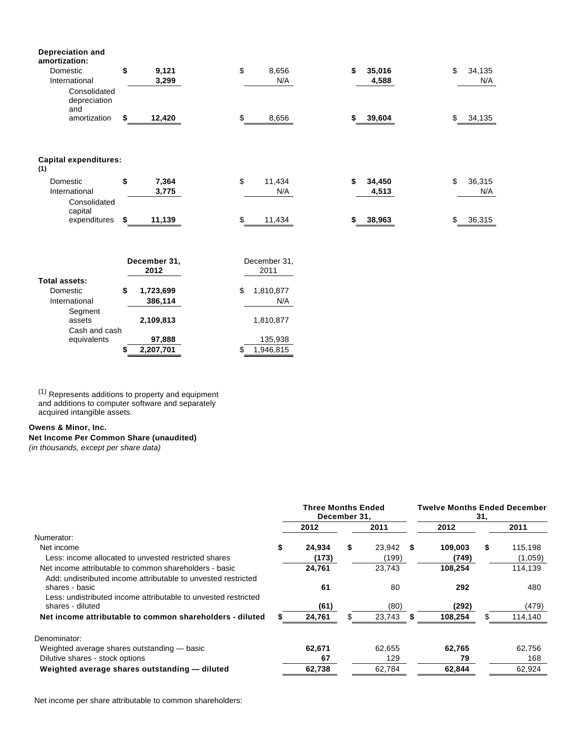| Depreciation and<br>amortization:   |                 |                 |              |              |
|-------------------------------------|-----------------|-----------------|--------------|--------------|
| Domestic                            | \$<br>9,121     | \$<br>8,656     | \$<br>35,016 | \$<br>34,135 |
| International                       | 3,299           | N/A             | 4,588        | N/A          |
| Consolidated<br>depreciation<br>and |                 |                 |              |              |
| amortization                        | \$<br>12,420    | \$<br>8,656     | \$<br>39,604 | \$<br>34,135 |
| <b>Capital expenditures:</b><br>(1) |                 |                 |              |              |
| Domestic                            | \$<br>7,364     | \$<br>11,434    | \$<br>34,450 | \$<br>36,315 |
| International                       | 3,775           | N/A             | 4,513        | N/A          |
| Consolidated<br>capital             |                 |                 |              |              |
| expenditures                        | \$<br>11,139    | \$<br>11,434    | \$<br>38,963 | \$<br>36,315 |
|                                     | December 31,    | December 31,    |              |              |
|                                     | 2012            | 2011            |              |              |
| Total assets:                       |                 |                 |              |              |
| Domestic                            | \$<br>1,723,699 | \$<br>1,810,877 |              |              |
| International                       | 386,114         | N/A             |              |              |
| Segment                             |                 |                 |              |              |
| assets                              | 2,109,813       | 1,810,877       |              |              |
| Cash and cash                       |                 |                 |              |              |
| equivalents                         | 97,888          | 135,938         |              |              |
|                                     | \$<br>2,207,701 | \$<br>1,946,815 |              |              |

(1) Represents additions to property and equipment and additions to computer software and separately acquired intangible assets.

## **Owens & Minor, Inc.**

# **Net Income Per Common Share (unaudited)**

(in thousands, except per share data)

|                                                                                                                         | <b>Three Months Ended</b><br>December 31. |    |             |  | <b>Twelve Months Ended December</b> | 31. |         |
|-------------------------------------------------------------------------------------------------------------------------|-------------------------------------------|----|-------------|--|-------------------------------------|-----|---------|
|                                                                                                                         | 2012                                      |    | 2011        |  | 2012                                |     | 2011    |
| Numerator:                                                                                                              |                                           |    |             |  |                                     |     |         |
| Net income                                                                                                              | \$<br>24,934                              | \$ | $23,942$ \$ |  | 109.003                             | S   | 115,198 |
| Less: income allocated to unvested restricted shares                                                                    | (173)                                     |    | (199)       |  | (749)                               |     | (1,059) |
| Net income attributable to common shareholders - basic<br>Add: undistributed income attributable to unvested restricted | 24,761                                    |    | 23,743      |  | 108,254                             |     | 114,139 |
| shares - basic<br>Less: undistributed income attributable to unvested restricted                                        | 61                                        |    | 80          |  | 292                                 |     | 480     |
| shares - diluted                                                                                                        | (61)                                      |    | (80)        |  | (292)                               |     | (479)   |
| Net income attributable to common shareholders - diluted                                                                | 24,761                                    | \$ | 23,743      |  | 108,254                             | \$. | 114,140 |
| Denominator:                                                                                                            |                                           |    |             |  |                                     |     |         |
| Weighted average shares outstanding — basic                                                                             | 62,671                                    |    | 62.655      |  | 62,765                              |     | 62.756  |
| Dilutive shares - stock options                                                                                         | 67                                        |    | 129         |  | 79                                  |     | 168     |
| Weighted average shares outstanding - diluted                                                                           | 62,738                                    |    | 62,784      |  | 62,844                              |     | 62,924  |